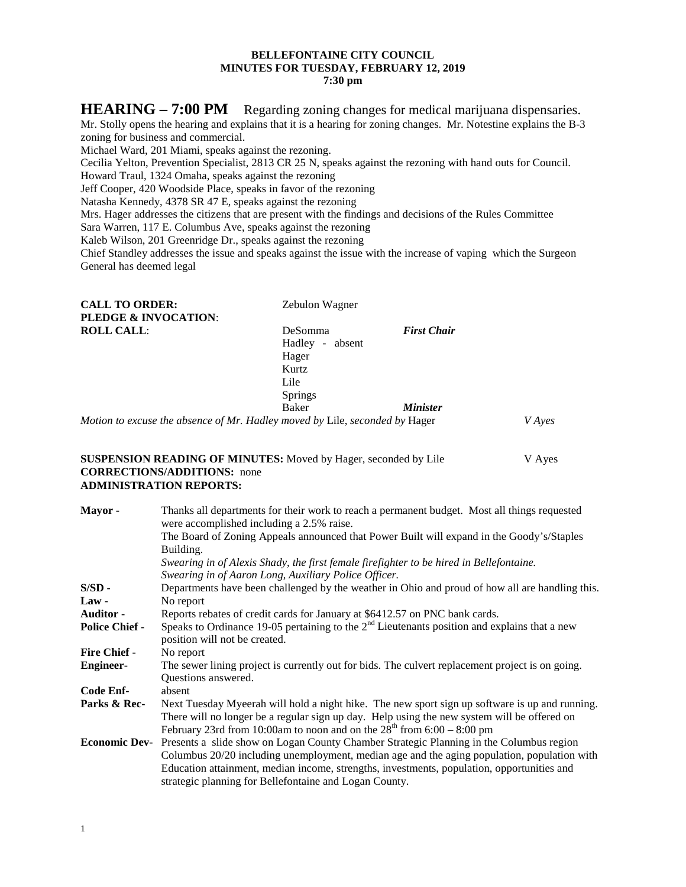## **BELLEFONTAINE CITY COUNCIL MINUTES FOR TUESDAY, FEBRUARY 12, 2019 7:30 pm**

**HEARING – 7:00 PM** Regarding zoning changes for medical marijuana dispensaries. Mr. Stolly opens the hearing and explains that it is a hearing for zoning changes. Mr. Notestine explains the B-3 zoning for business and commercial. Michael Ward, 201 Miami, speaks against the rezoning. Cecilia Yelton, Prevention Specialist, 2813 CR 25 N, speaks against the rezoning with hand outs for Council. Howard Traul, 1324 Omaha, speaks against the rezoning Jeff Cooper, 420 Woodside Place, speaks in favor of the rezoning Natasha Kennedy, 4378 SR 47 E, speaks against the rezoning Mrs. Hager addresses the citizens that are present with the findings and decisions of the Rules Committee Sara Warren, 117 E. Columbus Ave, speaks against the rezoning Kaleb Wilson, 201 Greenridge Dr., speaks against the rezoning Chief Standley addresses the issue and speaks against the issue with the increase of vaping which the Surgeon General has deemed legal

| <b>CALL TO ORDER:</b>                                                       | Zebulon Wagner     |                        |        |
|-----------------------------------------------------------------------------|--------------------|------------------------|--------|
| <b>PLEDGE &amp; INVOCATION:</b>                                             |                    |                        |        |
| <b>ROLL CALL:</b>                                                           | DeSomma            | <b>First Chair</b>     |        |
|                                                                             | Hadley -<br>absent |                        |        |
|                                                                             | Hager              |                        |        |
|                                                                             | Kurtz              |                        |        |
|                                                                             | Lile               |                        |        |
|                                                                             | <b>Springs</b>     |                        |        |
|                                                                             | Baker              | <i><b>Minister</b></i> |        |
| Motion to excuse the absence of Mr. Hadley moved by Lile, seconded by Hager |                    |                        | V Ayes |

### **SUSPENSION READING OF MINUTES:** Moved by Hager, seconded by Lile V Ayes **CORRECTIONS/ADDITIONS:** none **ADMINISTRATION REPORTS:**

| Mayor-                | Thanks all departments for their work to reach a permanent budget. Most all things requested<br>were accomplished including a 2.5% raise.                                                                                                                                                                                                      |  |
|-----------------------|------------------------------------------------------------------------------------------------------------------------------------------------------------------------------------------------------------------------------------------------------------------------------------------------------------------------------------------------|--|
|                       | The Board of Zoning Appeals announced that Power Built will expand in the Goody's/Staples<br>Building.                                                                                                                                                                                                                                         |  |
|                       | Swearing in of Alexis Shady, the first female firefighter to be hired in Bellefontaine.<br>Swearing in of Aaron Long, Auxiliary Police Officer.                                                                                                                                                                                                |  |
| $S/SD -$              | Departments have been challenged by the weather in Ohio and proud of how all are handling this.                                                                                                                                                                                                                                                |  |
| $Law -$               | No report                                                                                                                                                                                                                                                                                                                                      |  |
| <b>Auditor -</b>      | Reports rebates of credit cards for January at \$6412.57 on PNC bank cards.                                                                                                                                                                                                                                                                    |  |
| <b>Police Chief -</b> | Speaks to Ordinance 19-05 pertaining to the $2nd$ Lieutenants position and explains that a new<br>position will not be created.                                                                                                                                                                                                                |  |
| <b>Fire Chief -</b>   | No report                                                                                                                                                                                                                                                                                                                                      |  |
| <b>Engineer-</b>      | The sewer lining project is currently out for bids. The culvert replacement project is on going.<br>Questions answered.                                                                                                                                                                                                                        |  |
| Code Enf-             | absent                                                                                                                                                                                                                                                                                                                                         |  |
| Parks & Rec-          | Next Tuesday Myeerah will hold a night hike. The new sport sign up software is up and running.<br>There will no longer be a regular sign up day. Help using the new system will be offered on<br>February 23rd from 10:00am to noon and on the $28th$ from 6:00 – 8:00 pm                                                                      |  |
| <b>Economic Dev-</b>  | Presents a slide show on Logan County Chamber Strategic Planning in the Columbus region<br>Columbus 20/20 including unemployment, median age and the aging population, population with<br>Education attainment, median income, strengths, investments, population, opportunities and<br>strategic planning for Bellefontaine and Logan County. |  |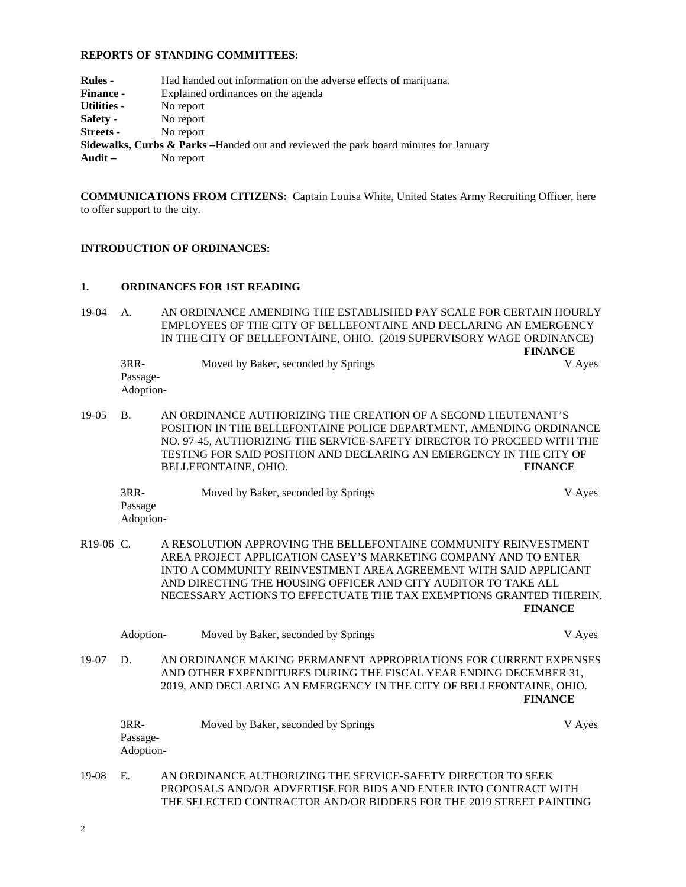# **REPORTS OF STANDING COMMITTEES:**

| <b>Rules -</b>     | Had handed out information on the adverse effects of marijuana.                       |
|--------------------|---------------------------------------------------------------------------------------|
| <b>Finance -</b>   | Explained ordinances on the agenda                                                    |
| <b>Utilities -</b> | No report                                                                             |
| Safety -           | No report                                                                             |
| <b>Streets</b> -   | No report                                                                             |
|                    | Sidewalks, Curbs & Parks – Handed out and reviewed the park board minutes for January |
| Audit $-$          | No report                                                                             |
|                    |                                                                                       |

**COMMUNICATIONS FROM CITIZENS:** Captain Louisa White, United States Army Recruiting Officer, here to offer support to the city.

### **INTRODUCTION OF ORDINANCES:**

#### **1. ORDINANCES FOR 1ST READING**

19-04 A. AN ORDINANCE AMENDING THE ESTABLISHED PAY SCALE FOR CERTAIN HOURLY EMPLOYEES OF THE CITY OF BELLEFONTAINE AND DECLARING AN EMERGENCY IN THE CITY OF BELLEFONTAINE, OHIO. (2019 SUPERVISORY WAGE ORDINANCE)

**FINANCE** 3RR- Moved by Baker, seconded by Springs V Ayes Passage-Adoption-

19-05 B. AN ORDINANCE AUTHORIZING THE CREATION OF A SECOND LIEUTENANT'S POSITION IN THE BELLEFONTAINE POLICE DEPARTMENT, AMENDING ORDINANCE NO. 97-45, AUTHORIZING THE SERVICE-SAFETY DIRECTOR TO PROCEED WITH THE TESTING FOR SAID POSITION AND DECLARING AN EMERGENCY IN THE CITY OF BELLEFONTAINE, OHIO. **FINANCE**

3RR- Moved by Baker, seconded by Springs V Ayes Passage Adoption-

R19-06 C. A RESOLUTION APPROVING THE BELLEFONTAINE COMMUNITY REINVESTMENT AREA PROJECT APPLICATION CASEY'S MARKETING COMPANY AND TO ENTER INTO A COMMUNITY REINVESTMENT AREA AGREEMENT WITH SAID APPLICANT AND DIRECTING THE HOUSING OFFICER AND CITY AUDITOR TO TAKE ALL NECESSARY ACTIONS TO EFFECTUATE THE TAX EXEMPTIONS GRANTED THEREIN. **FINANCE**

|       | Adoption- | Moved by Baker, seconded by Springs                                                                                                                                                                            | V Ayes         |
|-------|-----------|----------------------------------------------------------------------------------------------------------------------------------------------------------------------------------------------------------------|----------------|
| 19-07 | D.        | AN ORDINANCE MAKING PERMANENT APPROPRIATIONS FOR CURRENT EXPENSES<br>AND OTHER EXPENDITURES DURING THE FISCAL YEAR ENDING DECEMBER 31,<br>2019, AND DECLARING AN EMERGENCY IN THE CITY OF BELLEFONTAINE, OHIO. | <b>FINANCE</b> |
|       | $3RR-$    | Moved by Baker, seconded by Springs                                                                                                                                                                            | V Ayes         |

19-08 E. AN ORDINANCE AUTHORIZING THE SERVICE-SAFETY DIRECTOR TO SEEK PROPOSALS AND/OR ADVERTISE FOR BIDS AND ENTER INTO CONTRACT WITH THE SELECTED CONTRACTOR AND/OR BIDDERS FOR THE 2019 STREET PAINTING

Passage-Adoption-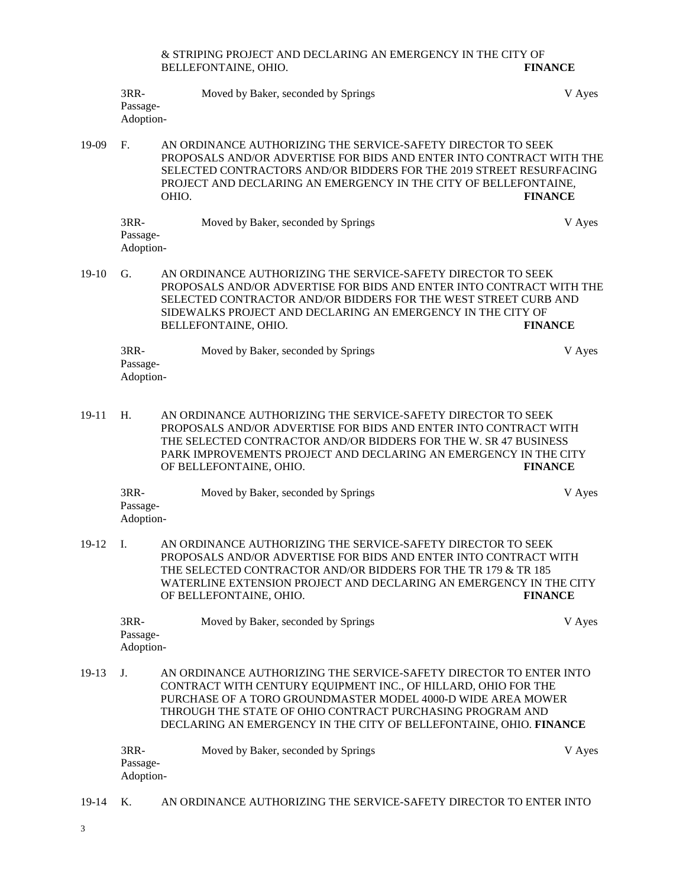| & STRIPING PROJECT AND DECLARING AN EMERGENCY IN THE CITY OF |                |
|--------------------------------------------------------------|----------------|
| BELLEFONTAINE, OHIO.                                         | <b>FINANCE</b> |

| $3RR-$                | Moved by Baker, seconded by Springs | V Ayes |
|-----------------------|-------------------------------------|--------|
| Passage-<br>Adoption- |                                     |        |
|                       |                                     |        |

19-09 F. AN ORDINANCE AUTHORIZING THE SERVICE-SAFETY DIRECTOR TO SEEK PROPOSALS AND/OR ADVERTISE FOR BIDS AND ENTER INTO CONTRACT WITH THE SELECTED CONTRACTORS AND/OR BIDDERS FOR THE 2019 STREET RESURFACING PROJECT AND DECLARING AN EMERGENCY IN THE CITY OF BELLEFONTAINE, OHIO. FINANCE OHIO. **FINANCE**

| 3RR-      | Moved by Baker, seconded by Springs | V Ayes |
|-----------|-------------------------------------|--------|
| Passage-  |                                     |        |
| Adoption- |                                     |        |

19-10 G. AN ORDINANCE AUTHORIZING THE SERVICE-SAFETY DIRECTOR TO SEEK PROPOSALS AND/OR ADVERTISE FOR BIDS AND ENTER INTO CONTRACT WITH THE SELECTED CONTRACTOR AND/OR BIDDERS FOR THE WEST STREET CURB AND SIDEWALKS PROJECT AND DECLARING AN EMERGENCY IN THE CITY OF BELLEFONTAINE, OHIO. **FINANCE**

| 3RR-      | Moved by Baker, seconded by Springs | V Ayes |
|-----------|-------------------------------------|--------|
| Passage-  |                                     |        |
| Adoption- |                                     |        |

19-11 H. AN ORDINANCE AUTHORIZING THE SERVICE-SAFETY DIRECTOR TO SEEK PROPOSALS AND/OR ADVERTISE FOR BIDS AND ENTER INTO CONTRACT WITH THE SELECTED CONTRACTOR AND/OR BIDDERS FOR THE W. SR 47 BUSINESS PARK IMPROVEMENTS PROJECT AND DECLARING AN EMERGENCY IN THE CITY OF BELLEFONTAINE, OHIO. **FINANCE**

| 3RR-      | Moved by Baker, seconded by Springs | V Ayes |
|-----------|-------------------------------------|--------|
| Passage-  |                                     |        |
| Adoption- |                                     |        |

19-12 I. AN ORDINANCE AUTHORIZING THE SERVICE-SAFETY DIRECTOR TO SEEK PROPOSALS AND/OR ADVERTISE FOR BIDS AND ENTER INTO CONTRACT WITH THE SELECTED CONTRACTOR AND/OR BIDDERS FOR THE TR 179 & TR 185 WATERLINE EXTENSION PROJECT AND DECLARING AN EMERGENCY IN THE CITY OF BELLEFONTAINE, OHIO. **FINANCE**

| 3RR-      | Moved by Baker, seconded by Springs | V Ayes |
|-----------|-------------------------------------|--------|
| Passage-  |                                     |        |
| Adoption- |                                     |        |

19-13 J. AN ORDINANCE AUTHORIZING THE SERVICE-SAFETY DIRECTOR TO ENTER INTO CONTRACT WITH CENTURY EQUIPMENT INC., OF HILLARD, OHIO FOR THE PURCHASE OF A TORO GROUNDMASTER MODEL 4000-D WIDE AREA MOWER THROUGH THE STATE OF OHIO CONTRACT PURCHASING PROGRAM AND DECLARING AN EMERGENCY IN THE CITY OF BELLEFONTAINE, OHIO. **FINANCE**

| 3RR-      | Moved by Baker, seconded by Springs | V Ayes |
|-----------|-------------------------------------|--------|
| Passage-  |                                     |        |
| Adoption- |                                     |        |

19-14 K. AN ORDINANCE AUTHORIZING THE SERVICE-SAFETY DIRECTOR TO ENTER INTO